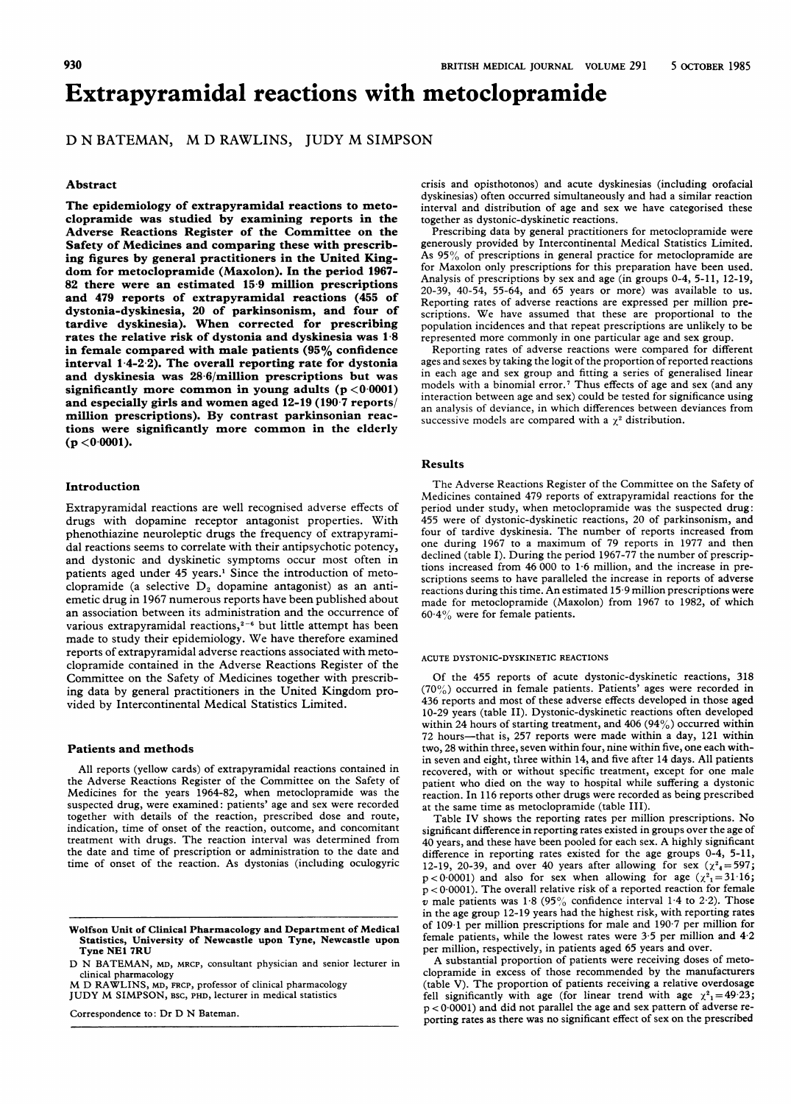# Extrapyramidal reactions with metoclopramide

# D N BATEMAN, M D RAWLINS, JUDY M SIMPSON

#### Abstract

The epidemiology of extrapyramidal reactions to metoclopramide was studied by examining reports in the Adverse Reactions Register of the Committee on the Safety of Medicines and comparing these with prescribing figures by general practitioners in the United Kingdom for metoclopramide (Maxolon). In the period 1967- 82 there were an estimated 15-9 million prescriptions and 479 reports of extrapyramidal reactions (455 of dystonia-dyskinesia, 20 of parkinsonism, and four of tardive dyskinesia). When corrected for prescribing rates the relative risk of dystonia and dyskinesia was 1-8 in female compared with male patients (95% confidence interval <sup>1</sup> 4-2 2). The overall reporting rate for dystonia and dyskinesia was 28-6/million prescriptions but was significantly more common in young adults  $(p < 0.0001)$ and especially girls and women aged 12-19 (190 <sup>7</sup> reports/ million prescriptions). By contrast parkinsonian reactions were significantly more common in the elderly  $(p < 0.0001)$ .

### Introduction

Extrapyramidal reactions are well recognised adverse effects of drugs with dopamine receptor antagonist properties. With phenothiazine neuroleptic drugs the frequency of extrapyramidal reactions seems to correlate with their antipsychotic potency, and dystonic and dyskinetic symptoms occur most often in patients aged under 45 years.' Since the introduction of metoclopramide (a selective  $D_2$  dopamine antagonist) as an antiemetic drug in 1967 numerous reports have been published about an association between its administration and the occurrence of various extrapyramidal reactions, $2-6$  but little attempt has been made to study their epidemiology. We have therefore examined reports of extrapyramidal adverse reactions associated with metoclopramide contained in the Adverse Reactions Register of the Committee on the Safety of Medicines together with prescribing data by general practitioners in the United Kingdom provided by Intercontinental Medical Statistics Limited.

#### Patients and methods

All reports (yellow cards) of extrapyramidal reactions contained in the Adverse Reactions Register of the Committee on the Safety of Medicines for the years 1964-82, when metoclopramide was the suspected drug, were examined: patients' age and sex were recorded together with details of the reaction, prescribed dose and route, indication, time of onset of the reaction, outcome, and concomitant treatment with drugs. The reaction interval was determined from the date and time of prescription or administration to the date and time of onset of the reaction. As dystonias (including oculogyric

Wolfson Unit of Clinical Pharmacology and Department of Medical Statistics, University of Newcastle upon Tyne, Newcastle upon Tyne NE1 7RU

D N BATEMAN, MD, MRCP, consultant physician and senior lecturer in

clinical pharmacology M D RAWLINS, MD, FRcp, professor of clinical pharmacology JUDY M SIMPSON, BSC, PHD, lecturer in medical statistics

Correspondence to: Dr D N Bateman.

crisis and opisthotonos) and acute dyskinesias (including orofacial dyskinesias) often occurred simultaneously and had a similar reaction interval and distribution of age and sex we have categorised these together as dystonic-dyskinetic reactions.

Prescribing data by general practitioners for metoclopramide were generously provided by Intercontinental Medical Statistics Limited. As  $95\%$  of prescriptions in general practice for metoclopramide are for Maxolon only prescriptions for this preparation have been used. Analysis of prescriptions by sex and age (in groups 0-4, 5-11, 12-19, 20-39, 40-54, 55-64, and 65 years or more) was available to us. Reporting rates of adverse reactions are expressed per million prescriptions. We have assumed that these are proportional to the population incidences and that repeat prescriptions are unlikely to be represented more commonly in one particular age and sex group.

Reporting rates of adverse reactions were compared for different ages and sexes by taking the logit of the proportion of reported reactions in each age and sex group and fitting a series of generalised linear models with a binomial error.7 Thus effects of age and sex (and any interaction between age and sex) could be tested for significance using an analysis of deviance, in which differences between deviances from successive models are compared with a  $\chi^2$  distribution.

#### Results

The Adverse Reactions Register of the Committee on the Safety of Medicines contained 479 reports of extrapyramidal reactions for the period under study, when metoclopramide was the suspected drug: 455 were of dystonic-dyskinetic reactions, 20 of parkinsonism, and four of tardive dyskinesia. The number of reports increased from one during 1967 to <sup>a</sup> maximum of 79 reports in 1977 and then declined (table I). During the period 1967-77 the number of prescriptions increased from 46 000 to <sup>1</sup> 6 million, and the increase in prescriptions seems to have paralleled the increase in reports of adverse reactions during this time. An estimated <sup>15</sup> <sup>9</sup> million prescriptions were made for metoclopramide (Maxolon) from 1967 to 1982, of which  $60.4\%$  were for female patients.

#### ACUTE DYSTONIC-DYSKINETIC REACTIONS

Of the 455 reports of acute dystonic-dyskinetic reactions, 318  $(70\%)$  occurred in female patients. Patients' ages were recorded in 436 reports and most of these adverse effects developed in those aged 10-29 years (table II). Dystonic-dyskinetic reactions often developed within 24 hours of starting treatment, and 406 (94%) occurred within 72 hours--that is, 257 reports were made within a day, 121 within two, 28 within three, seven within four, nine within five, one each within seven and eight, three within 14, and five after 14 days. All patients recovered, with or without specific treatment, except for one male patient who died on the way to hospital while suffering <sup>a</sup> dystonic reaction. In 116 reports other drugs were recorded as being prescribed at the same time as metoclopramide (table III).

Table IV shows the reporting rates per million prescriptions. No significant difference in reporting rates existed in groups over the age of <sup>40</sup> years, and these have been pooled for each sex. A highly significant difference in reporting rates existed for the age groups 0-4, 5-11, 12-19, 20-39, and over 40 years after allowing for sex  $(\chi^2_4=597;$  $p < 0.0001$ ) and also for sex when allowing for age  $(\chi^2) = 31.16$ ; p < 0 0001). The overall relative risk of <sup>a</sup> reported reaction for female  $v$  male patients was 1.8 (95% confidence interval 1.4 to 2.2). Those in the age group 12-19 years had the highest risk, with reporting rates of 109-1 per million prescriptions for male and 190 7 per million for female patients, while the lowest rates were 3-5 per million and 4-2 per million, respectively, in patients aged 65 years and over.

A substantial proportion of patients were receiving doses of metoclopramide in excess of those recommended by the manufacturers (table V). The proportion of patients receiving <sup>a</sup> relative overdosage fell significantly with age (for linear trend with age  $\chi^2$ <sub>1</sub>= 49.23; p < 0 0001) and did not parallel the age and sex pattern of adverse reporting rates as there was no significant effect of sex on the prescribed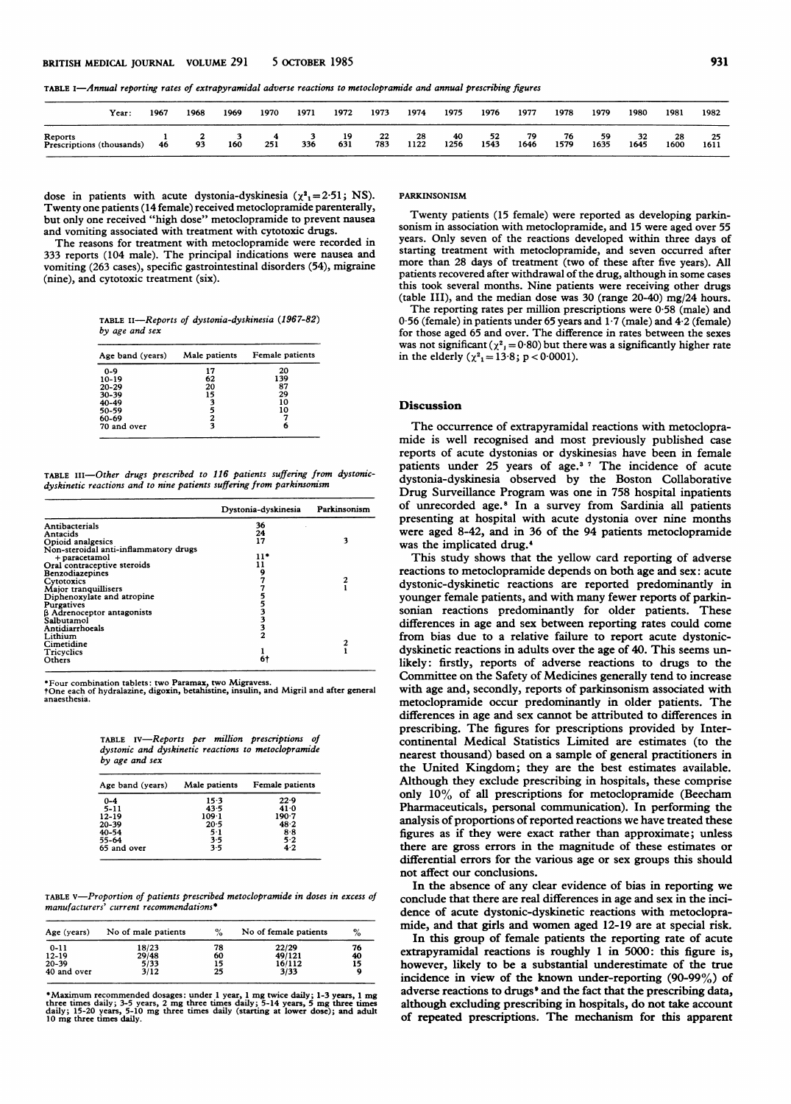TABLE I-Annual reporting rates of extrapyramidal adverse reactions to metoclopramide and annual prescribing figures

| Year:                                | 1967 | 1968 | 1969 | 1970 | 1971 | 1972      | 1973      | 1974       | 1975       | 1976       | 1977       | 1978       | 1979       | 1980       | 1981       | 1982       |
|--------------------------------------|------|------|------|------|------|-----------|-----------|------------|------------|------------|------------|------------|------------|------------|------------|------------|
| Reports<br>Prescriptions (thousands) | 46   | 93   | 160  | 251  | 336  | 19<br>631 | 22<br>783 | 28<br>1122 | 40<br>1256 | 52<br>1543 | 79<br>1646 | 76<br>1579 | 59<br>1635 | 32<br>1645 | 28<br>1600 | 25<br>1611 |

dose in patients with acute dystonia-dyskinesia ( $\chi^2$ <sub>1</sub>=2.51; NS). Twenty one patients (14 female) received metoclopramide parenterally, but only one received "high dose" metoclopramide to prevent nausea and vomiting associated with treatment with cytotoxic drugs.

The reasons for treatment with metoclopramide were recorded in 333 reports (104 male). The principal indications were nausea and vomiting (263 cases), specific gastrointestinal disorders (54), migraine (nine), and cytotoxic treatment (six).

TABLE II-Reports of dystonia-dyskinesia (1967-82) by age and sex

| Age band (years) | Male patients | Female patients |
|------------------|---------------|-----------------|
| $0 - 9$          | 17            | 20              |
| $10-19$          | 62            | 139             |
| $20 - 29$        | 20            | 87              |
| $30 - 39$        | 15            | 29              |
| 40-49            | 3             | 10              |
| 50-59            | 5             | 10              |
| 60-69            | 2             |                 |
| 70 and over      | 3             |                 |

TABLE ili-Other drugs prescribed to 116 patients suffering from dystonicdyskinetic reactions and to nine patients suffering from parkinsonism

|                                       | Dystonia-dyskinesia | Parkinsonism |
|---------------------------------------|---------------------|--------------|
| Antibacterials                        | 36                  |              |
| Antacids                              | 24                  |              |
| Opioid analgesics                     | 17                  | 3            |
| Non-steroidal anti-inflammatory drugs |                     |              |
| + paracetamol                         | 11*                 |              |
| Oral contraceptive steroids           |                     |              |
| Benzodiazepines                       | 9                   |              |
| Cytotoxics                            |                     |              |
| Major tranquillisers                  |                     |              |
| Diphenoxylate and atropine            |                     |              |
| Purgatives                            |                     |              |
| <b>B</b> Adrenoceptor antagonists     |                     |              |
| Salbutamol                            |                     |              |
| Antidiarrhoeals                       | 3                   |              |
| Lithium                               | 2                   |              |
| Cimetidine                            |                     |              |
| Tricyclics                            |                     |              |
| Others                                | 6†                  |              |
|                                       |                     |              |

\*Four combination tablets: two Paramax, two Migravess. tOne each of hydralazine, digoxin, betahistine, insulin, and Migril and after general anaesthesia.

|                |  |  | TABLE IV—Reports per million prescriptions of       |  |
|----------------|--|--|-----------------------------------------------------|--|
|                |  |  | dystonic and dyskinetic reactions to metoclopramide |  |
| by age and sex |  |  |                                                     |  |

| Age band (years) | Male patients   | Female patients |  |  |
|------------------|-----------------|-----------------|--|--|
| $0 - 4$          | $15-3$          | 22.9            |  |  |
| $5 - 11$         | 43.5            | 41.0            |  |  |
| 12-19            | 1091            | 190.7           |  |  |
| 20-39            | 20 <sub>5</sub> | 48.2            |  |  |
| 40-54            | $5-1$           | $8 - 8$         |  |  |
| 55-64            | 3.5             | 5.2             |  |  |
| 65 and over      | 3.5             | 4.2             |  |  |

TABLE V-Proportion of patients prescribed metoclopramide in doses in excess of manufacturers' current recommendations\*

| Age (years) | No of male patients | $\%$ | No of female patients | %  |
|-------------|---------------------|------|-----------------------|----|
| $0 - 11$    | 18/23               | 78   | 22/29                 | 76 |
| $12 - 19$   | 29/48               | 60   | 49/121                | 40 |
| $20 - 39$   | 5/33                | 15   | 16/112                | 15 |
| 40 and over | 3/12                | 25   | 3/33                  |    |

\*Maximum recommended dosages: under 1 year, 1 mg twice daily; 1-3 years, 1 mg<br>three times daily; 3-5 years, 2 mg three times daily; 5-14 years, 5 mg three times<br>daily; 15-20 years, 5-10 mg three times daily (starting at lo

#### PARKINSONISM

Twenty patients (15 female) were reported as developing parkinsonism in association with metoclopramide, and 15 were aged over 55 years. Only seven of the reactions developed within three days of starting treatment with metoclopramide, and seven occurred after more than 28 days of treatment (two of these after five years). All patients recovered after withdrawal of the drug, although in some cases this took several months. Nine patients were receiving other drugs (table III), and the median dose was 30 (range 20-40) mg/24 hours.

The reporting rates per million prescriptions were 0-58 (male) and  $0.56$  (female) in patients under 65 years and  $1.7$  (male) and  $4.2$  (female) for those aged 65 and over. The difference in rates between the sexes was not significant ( $\chi^2$ <sub>J</sub> = 0.80) but there was a significantly higher rate in the elderly ( $\chi^2$ <sub>1</sub> = 13.8; p < 0.0001).

#### Discussion

The occurrence of extrapyramidal reactions with metoclopramide is well recognised and most previously published case reports of acute dystonias or dyskinesias have been in female patients under 25 years of age.<sup>37</sup> The incidence of acute dystonia-dyskinesia observed by the Boston Collaborative Drug Surveillance Program was one in 758 hospital inpatients of unrecorded age.8 In a survey from Sardinia all patients presenting at hospital with acute dystonia over nine months were aged 8-42, and in 36 of the 94 patients metoclopramide was the implicated drug.4

This study shows that the yellow card reporting of adverse reactions to metoclopramide depends on both age and sex: acute dystonic-dyskinetic reactions are reported predominantly in younger female patients, and with many fewer reports of parkinsonian reactions predominantly for older patients. These differences in age and sex between reporting rates could come from bias due to a relative failure to report acute dystonicdyskinetic reactions in adults over the age of 40. This seems unlikely: firstly, reports of adverse reactions to drugs to the Committee on the Safety of Medicines generally tend to increase with age and, secondly, reports of parkinsonism associated with metoclopramide occur predominantly in older patients. The differences in age and sex cannot be attributed to differences in prescribing. The figures for prescriptions provided by Intercontinental Medical Statistics Limited are estimates (to the nearest thousand) based on a sample of general practitioners in the United Kingdom; they are the best estimates available. Although they exclude prescribing in hospitals, these comprise only 10% of all prescriptions for metoclopramide (Beecham Pharmaceuticals, personal communication). In performing the analysis of proportions of reported reactions we have treated these figures as if they were exact rather than approximate; unless there are gross errors in the magnitude of these estimates or differential errors for the various age or sex groups this should not affect our conclusions.

In the absence of any clear evidence of bias in reporting we conclude that there are real differences in age and sex in the incidence of acute dystonic-dyskinetic reactions with metoclopramide, and that girls and women aged 12-19 are at special risk.

In this group of female patients the reporting rate of acute extrapyramidal reactions is roughly <sup>1</sup> in 5000: this figure is, however, likely to be a substantial underestimate of the true incidence in view of the known under-reporting (90-99%) of adverse reactions to drugs<sup>9</sup> and the fact that the prescribing data, although excluding prescribing in hospitals, do not take account of repeated prescriptions. The mechanism for this apparent